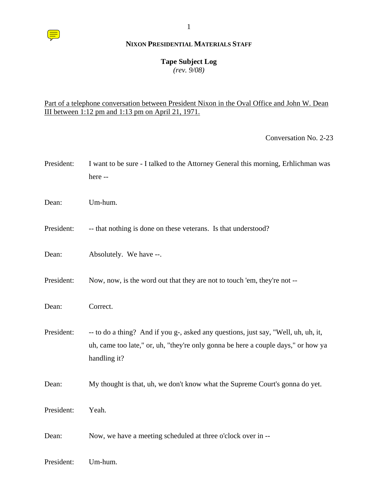# **NIXON PRESIDENTIAL MATERIALS STAFF**

1

### **Tape Subject Log**

*(rev. 9/08)*

# Part of a telephone conversation between President Nixon in the Oval Office and John W. Dean III between 1:12 pm and 1:13 pm on April 21, 1971.

Conversation No. 2-23

| President: | I want to be sure - I talked to the Attorney General this morning, Erhlichman was<br>here --                                                                                            |
|------------|-----------------------------------------------------------------------------------------------------------------------------------------------------------------------------------------|
| Dean:      | Um-hum.                                                                                                                                                                                 |
| President: | -- that nothing is done on these veterans. Is that understood?                                                                                                                          |
| Dean:      | Absolutely. We have --.                                                                                                                                                                 |
| President: | Now, now, is the word out that they are not to touch 'em, they're not --                                                                                                                |
| Dean:      | Correct.                                                                                                                                                                                |
| President: | -- to do a thing? And if you g-, asked any questions, just say, "Well, uh, uh, it,<br>uh, came too late," or, uh, "they're only gonna be here a couple days," or how ya<br>handling it? |
| Dean:      | My thought is that, uh, we don't know what the Supreme Court's gonna do yet.                                                                                                            |
| President: | Yeah.                                                                                                                                                                                   |
| Dean:      | Now, we have a meeting scheduled at three o'clock over in --                                                                                                                            |
| President: | Um-hum.                                                                                                                                                                                 |